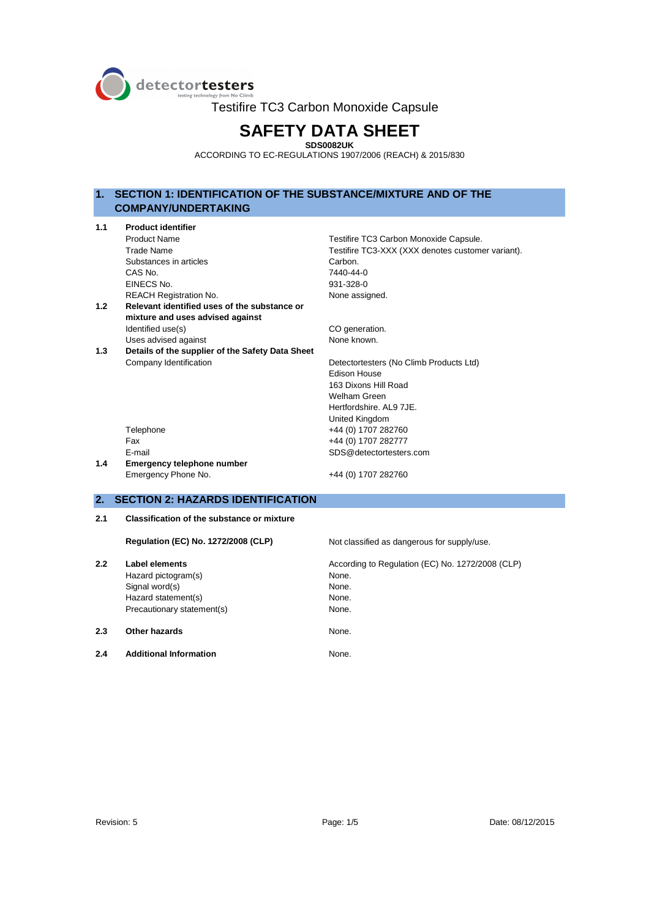

Testifire TC3 Carbon Monoxide Capsule

# **SAFETY DATA SHEET**

**SDS0082UK**  ACCORDING TO EC-REGULATIONS 1907/2006 (REACH) & 2015/830

# **1. SECTION 1: IDENTIFICATION OF THE SUBSTANCE/MIXTURE AND OF THE COMPANY/UNDERTAKING**

| 1.1 | <b>Product identifier</b>                        |                                                   |
|-----|--------------------------------------------------|---------------------------------------------------|
|     | <b>Product Name</b>                              | Testifire TC3 Carbon Monoxide Capsule.            |
|     | <b>Trade Name</b>                                | Testifire TC3-XXX (XXX denotes customer variant). |
|     | Substances in articles                           | Carbon.                                           |
|     | CAS No.                                          | 7440-44-0                                         |
|     | EINECS No.                                       | 931-328-0                                         |
|     | <b>REACH Registration No.</b>                    | None assigned.                                    |
| 1.2 | Relevant identified uses of the substance or     |                                                   |
|     | mixture and uses advised against                 |                                                   |
|     | Identified use(s)                                | CO generation.                                    |
|     | Uses advised against                             | None known.                                       |
| 1.3 | Details of the supplier of the Safety Data Sheet |                                                   |
|     | Company Identification                           | Detectortesters (No Climb Products Ltd)           |
|     |                                                  | <b>Fdison House</b>                               |
|     |                                                  | 163 Dixons Hill Road                              |
|     |                                                  | Welham Green                                      |
|     |                                                  | Hertfordshire, AL9 7JE.                           |
|     |                                                  | United Kingdom                                    |
|     | Telephone                                        | +44 (0) 1707 282760                               |
|     | Fax                                              | +44 (0) 1707 282777                               |
|     | E-mail                                           | SDS@detectortesters.com                           |
| 1.4 | Emergency telephone number                       |                                                   |
|     | Emergency Phone No.                              | +44 (0) 1707 282760                               |
|     |                                                  |                                                   |
| 2.  | <b>SECTION 2: HAZARDS IDENTIFICATION</b>         |                                                   |
|     |                                                  |                                                   |

# **2.1 Classification of the substance or mixture**

|     | <b>Regulation (EC) No. 1272/2008 (CLP)</b> | Not classified as dangerous for supply/use.      |
|-----|--------------------------------------------|--------------------------------------------------|
| 2.2 | Label elements                             | According to Regulation (EC) No. 1272/2008 (CLP) |
|     | Hazard pictogram(s)                        | None.                                            |
|     | Signal word(s)                             | None.                                            |
|     | Hazard statement(s)                        | None.                                            |
|     | Precautionary statement(s)                 | None.                                            |
| 2.3 | Other hazards                              | None.                                            |
| 2.4 | <b>Additional Information</b>              | None.                                            |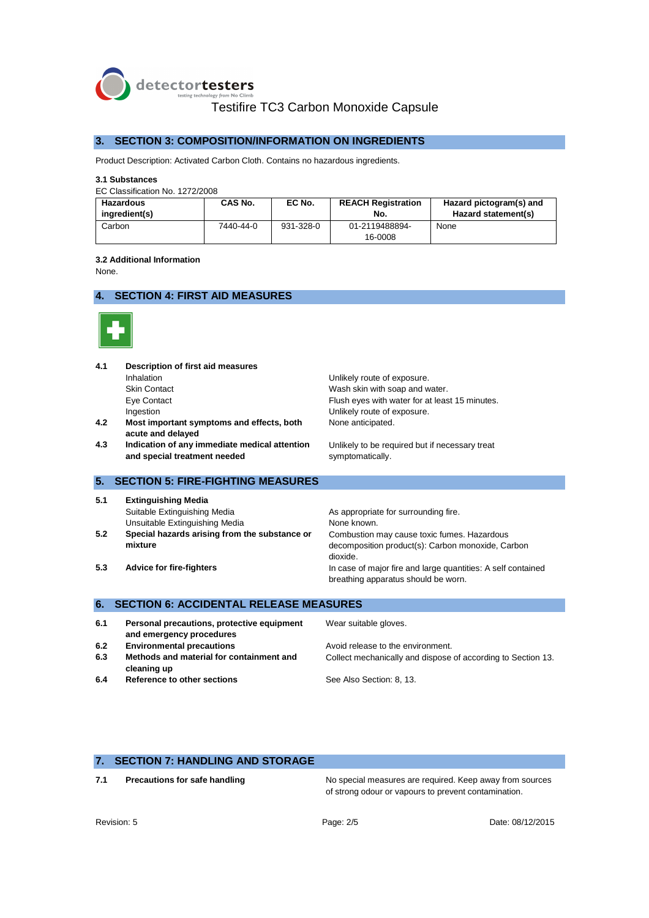

# Testifire TC3 Carbon Monoxide Capsule

### **3. SECTION 3: COMPOSITION/INFORMATION ON INGREDIENTS**

Product Description: Activated Carbon Cloth. Contains no hazardous ingredients.

#### **3.1 Substances**

EC Classification No. 1272/2008

| <b>Hazardous</b><br>inaredient(s) | CAS No.   | EC No.    | <b>REACH Registration</b><br>No. | Hazard pictogram(s) and<br>Hazard statement(s) |
|-----------------------------------|-----------|-----------|----------------------------------|------------------------------------------------|
| Carbon                            | 7440-44-0 | 931-328-0 | 01-2119488894-                   | None                                           |
|                                   |           |           | 16-0008                          |                                                |

#### **3.2 Additional Information**

None.

# **4. SECTION 4: FIRST AID MEASURES**



| 4.1               | Description of first aid measures<br>Inhalation<br><b>Skin Contact</b><br>Eye Contact<br>Ingestion                                                                                          | Unlikely route of exposure.<br>Wash skin with soap and water.<br>Flush eyes with water for at least 15 minutes.<br>Unlikely route of exposure.                                                                                                                             |
|-------------------|---------------------------------------------------------------------------------------------------------------------------------------------------------------------------------------------|----------------------------------------------------------------------------------------------------------------------------------------------------------------------------------------------------------------------------------------------------------------------------|
| 4.2               | Most important symptoms and effects, both<br>acute and delayed                                                                                                                              | None anticipated.                                                                                                                                                                                                                                                          |
| 4.3               | Indication of any immediate medical attention<br>and special treatment needed                                                                                                               | Unlikely to be required but if necessary treat<br>symptomatically.                                                                                                                                                                                                         |
| 5.                | <b>SECTION 5: FIRE-FIGHTING MEASURES</b>                                                                                                                                                    |                                                                                                                                                                                                                                                                            |
| 5.1<br>5.2<br>5.3 | <b>Extinguishing Media</b><br>Suitable Extinguishing Media<br>Unsuitable Extinguishing Media<br>Special hazards arising from the substance or<br>mixture<br><b>Advice for fire-fighters</b> | As appropriate for surrounding fire.<br>None known.<br>Combustion may cause toxic fumes. Hazardous<br>decomposition product(s): Carbon monoxide, Carbon<br>dioxide.<br>In case of major fire and large quantities: A self contained<br>breathing apparatus should be worn. |
| 6.                | <b>SECTION 6: ACCIDENTAL RELEASE MEASURES</b>                                                                                                                                               |                                                                                                                                                                                                                                                                            |
| 6.1               | Personal precautions, protective equipment<br>and emergency procedures                                                                                                                      | Wear suitable gloves.                                                                                                                                                                                                                                                      |
| 6.2               | <b>Environmental precautions</b>                                                                                                                                                            | Avoid release to the environment.                                                                                                                                                                                                                                          |
| 6.3               | Methods and material for containment and<br>cleaning up                                                                                                                                     | Collect mechanically and dispose of according to Section 13.                                                                                                                                                                                                               |
| 6.4               | Reference to other sections                                                                                                                                                                 | See Also Section: 8, 13.                                                                                                                                                                                                                                                   |

# **7. SECTION 7: HANDLING AND STORAGE**

**7.1 Precautions for safe handling The State No special measures are required. Keep away from sources** of strong odour or vapours to prevent contamination.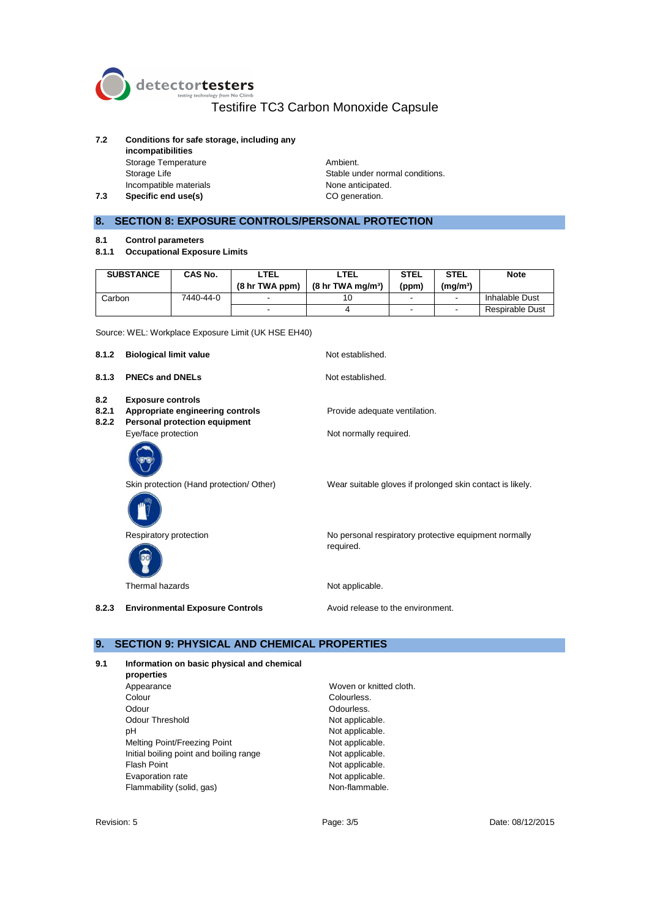

# Testifire TC3 Carbon Monoxide Capsule

## **7.2 Conditions for safe storage, including any**

**incompatibilities**  Storage Temperature **Ambient.** Incompatible materials

**7.3 Specific end use(s) CO** generation.

Storage Life Stable under normal conditions.<br>
Incompatible materials<br>
None anticipated.

# **8. SECTION 8: EXPOSURE CONTROLS/PERSONAL PROTECTION**

- **8.1 Control parameters**
- **8.1.1 Occupational Exposure Limits**

| <b>SUBSTANCE</b> | <b>CAS No.</b> | LTEL<br>(8 <sub>hr</sub> TWA ppm) | ' TEL<br>$(8 \text{ hr} \text{ TWA} \text{ ma/m}^3)$ | <b>STEL</b><br>(ppm) | <b>STEL</b><br>(ma/mª) | <b>Note</b>     |
|------------------|----------------|-----------------------------------|------------------------------------------------------|----------------------|------------------------|-----------------|
| Carbon           | 7440-44-0      | -                                 | 10                                                   |                      |                        | Inhalable Dust  |
|                  |                | -                                 |                                                      |                      |                        | Respirable Dust |

Source: WEL: Workplace Exposure Limit (UK HSE EH40)

| 8.1.2                 | <b>Biological limit value</b>                                                                                        | Not established.                                                   |
|-----------------------|----------------------------------------------------------------------------------------------------------------------|--------------------------------------------------------------------|
| 8.1.3                 | <b>PNECs and DNELs</b>                                                                                               | Not established.                                                   |
| 8.2<br>8.2.1<br>8.2.2 | <b>Exposure controls</b><br>Appropriate engineering controls<br>Personal protection equipment<br>Eye/face protection | Provide adequate ventilation.<br>Not normally required.            |
|                       | Skin protection (Hand protection/ Other)                                                                             | Wear suitable gloves if prolonged skin contact is likely.          |
|                       | Respiratory protection                                                                                               | No personal respiratory protective equipment normally<br>required. |
|                       | Thermal hazards                                                                                                      | Not applicable.                                                    |
| 8.2.3                 | <b>Environmental Exposure Controls</b>                                                                               | Avoid release to the environment.                                  |

# **9. SECTION 9: PHYSICAL AND CHEMICAL PROPERTIES**

#### **9.1 Information on basic physical and chemical**

**properties**  Colour Colourless. Odour **Odourless.** Odour Threshold Not applicable. pH Not applicable. Melting Point/Freezing Point Not applicable. Initial boiling point and boiling range Not applicable. Flash Point **Not applicable.** Evaporation rate **Note applicable.**<br>
Flammability (solid, gas) **Non-flammable.** Flammability (solid, gas)

Woven or knitted cloth.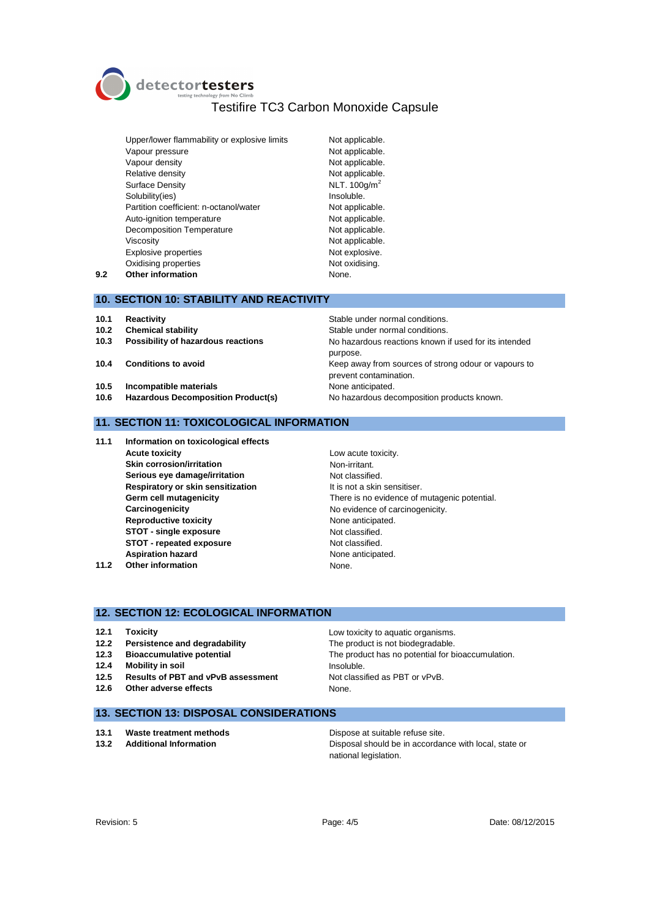detectortesters

# Testifire TC3 Carbon Monoxide Capsule

Upper/lower flammability or explosive limits Not applicable. Vapour pressure Not applicable. Vapour density **Not applicable.** Relative density **Not applicable**. Surface Density NLT. 100g/m<sup>2</sup> Solubility(ies) and the soluble of the soluble. Partition coefficient: n-octanol/water Not applicable. Auto-ignition temperature Not applicable. Decomposition Temperature Not applicable. Viscosity **Not applicable.** Explosive properties Not explosive. Oxidising properties Not oxidising. **9.2 Other information** None.

purpose.

prevent contamination.

#### **10. SECTION 10: STABILITY AND REACTIVITY**

- 
- **10.1 Reactivity**<br>**10.2 Chemical stability** Stable under normal conditions.
- **10.2 Chemical stability 10.2 Chemical stability 10.3 Chemical stability of hazardous reactions No hazardous reactions No hazardous reactions No hazardous reactions No hazardous reactions home 10.3 Possibility of hazardous reactions** No hazardous reactions known if used for its intended
- **10.4 Conditions to avoid 10.4 Conditions to avoid Keep away from sources of strong odour or vapours to**
- **10.5 Incompatible materials** None anticipated.
- **10.6 Hazardous Decomposition Product(s)** No hazardous decomposition products known.

#### **11. SECTION 11: TOXICOLOGICAL INFORMATION**

- **11.1 Information on toxicological effects Acute toxicity Low acute toxicity. Skin corrosion/irritation** Non-irritant. **Serious eve damage/irritation** Not classified. **Respiratory or skin sensitization** It is not a skin sensitiser. **Carcinogenicity Carcinogenicity No evidence of carcinogenicity. Reproductive toxicity** None anticipated. **STOT - single exposure** Not classified. **STOT - repeated exposure** Not classified. Aspiration hazard **None anticipated.** None anticipated. **11.2 Other information** None.
	- **Germ cell mutagenicity** There is no evidence of mutagenic potential.

#### **12. SECTION 12: ECOLOGICAL INFORMATION**

- 
- 
- 
- **12.4 Mobility in soil Insoluble.**
- **12.5 Results of PBT and vPvB assessment** Not classified as PBT or vPvB.
- **12.6 Other adverse effects** None.

**12.1 Toxicity 12.1 Toxicity 12.1 Toxicity Low toxicity to aquatic organisms. 12.2 Persistence and degradability** The product is not biodegradable. **12.3 Bioaccumulative potential** The product has no potential for bioaccumulation.

### **13. SECTION 13: DISPOSAL CONSIDERATIONS**

- **13.1 Waste treatment methods Dispose at suitable refuse site.**
- 

**13.2 Additional Information** Disposal should be in accordance with local, state or national legislation.